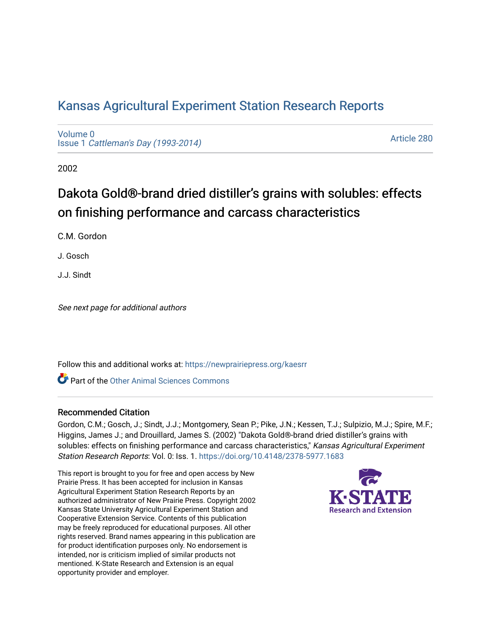## [Kansas Agricultural Experiment Station Research Reports](https://newprairiepress.org/kaesrr)

[Volume 0](https://newprairiepress.org/kaesrr/vol0) Issue 1 [Cattleman's Day \(1993-2014\)](https://newprairiepress.org/kaesrr/vol0/iss1) 

[Article 280](https://newprairiepress.org/kaesrr/vol0/iss1/280) 

2002

# Dakota Gold®-brand dried distiller's grains with solubles: effects on finishing performance and carcass characteristics

C.M. Gordon

J. Gosch

J.J. Sindt

See next page for additional authors

Follow this and additional works at: [https://newprairiepress.org/kaesrr](https://newprairiepress.org/kaesrr?utm_source=newprairiepress.org%2Fkaesrr%2Fvol0%2Fiss1%2F280&utm_medium=PDF&utm_campaign=PDFCoverPages) 

**C** Part of the [Other Animal Sciences Commons](http://network.bepress.com/hgg/discipline/82?utm_source=newprairiepress.org%2Fkaesrr%2Fvol0%2Fiss1%2F280&utm_medium=PDF&utm_campaign=PDFCoverPages)

#### Recommended Citation

Gordon, C.M.; Gosch, J.; Sindt, J.J.; Montgomery, Sean P.; Pike, J.N.; Kessen, T.J.; Sulpizio, M.J.; Spire, M.F.; Higgins, James J.; and Drouillard, James S. (2002) "Dakota Gold®-brand dried distiller's grains with solubles: effects on finishing performance and carcass characteristics," Kansas Agricultural Experiment Station Research Reports: Vol. 0: Iss. 1.<https://doi.org/10.4148/2378-5977.1683>

This report is brought to you for free and open access by New Prairie Press. It has been accepted for inclusion in Kansas Agricultural Experiment Station Research Reports by an authorized administrator of New Prairie Press. Copyright 2002 Kansas State University Agricultural Experiment Station and Cooperative Extension Service. Contents of this publication may be freely reproduced for educational purposes. All other rights reserved. Brand names appearing in this publication are for product identification purposes only. No endorsement is intended, nor is criticism implied of similar products not mentioned. K-State Research and Extension is an equal opportunity provider and employer.

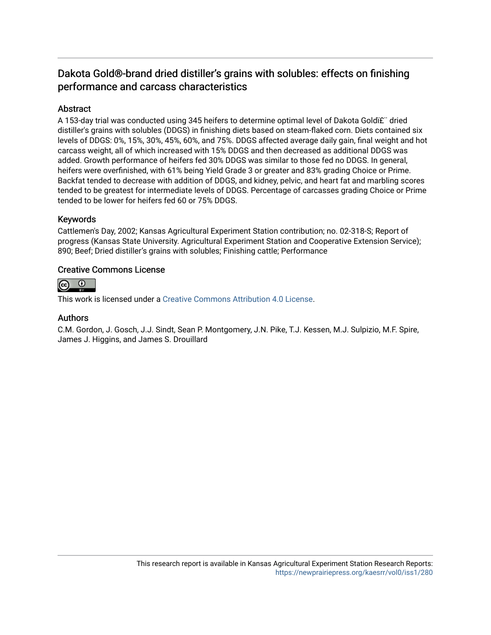## Dakota Gold®-brand dried distiller's grains with solubles: effects on finishing performance and carcass characteristics

## **Abstract**

A 153-day trial was conducted using 345 heifers to determine optimal level of Dakota Goldi£" dried distiller's grains with solubles (DDGS) in finishing diets based on steam-flaked corn. Diets contained six levels of DDGS: 0%, 15%, 30%, 45%, 60%, and 75%. DDGS affected average daily gain, final weight and hot carcass weight, all of which increased with 15% DDGS and then decreased as additional DDGS was added. Growth performance of heifers fed 30% DDGS was similar to those fed no DDGS. In general, heifers were overfinished, with 61% being Yield Grade 3 or greater and 83% grading Choice or Prime. Backfat tended to decrease with addition of DDGS, and kidney, pelvic, and heart fat and marbling scores tended to be greatest for intermediate levels of DDGS. Percentage of carcasses grading Choice or Prime tended to be lower for heifers fed 60 or 75% DDGS.

## Keywords

Cattlemen's Day, 2002; Kansas Agricultural Experiment Station contribution; no. 02-318-S; Report of progress (Kansas State University. Agricultural Experiment Station and Cooperative Extension Service); 890; Beef; Dried distiller's grains with solubles; Finishing cattle; Performance

### Creative Commons License



This work is licensed under a [Creative Commons Attribution 4.0 License](https://creativecommons.org/licenses/by/4.0/).

#### Authors

C.M. Gordon, J. Gosch, J.J. Sindt, Sean P. Montgomery, J.N. Pike, T.J. Kessen, M.J. Sulpizio, M.F. Spire, James J. Higgins, and James S. Drouillard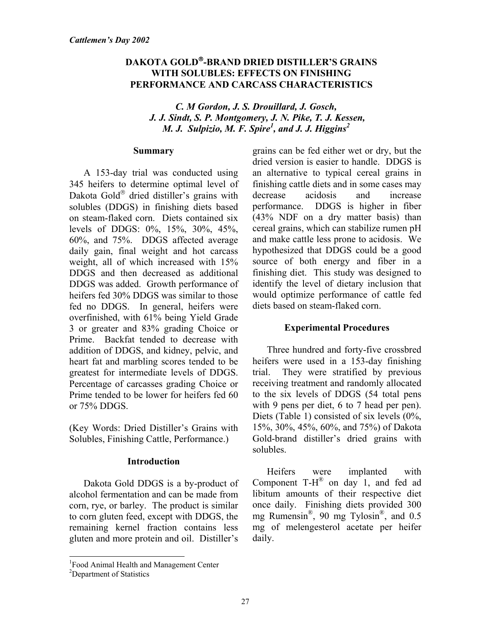## **DAKOTA GOLD-BRAND DRIED DISTILLER'S GRAINS WITH SOLUBLES: EFFECTS ON FINISHING PERFORMANCE AND CARCASS CHARACTERISTICS**

## *C. M Gordon, J. S. Drouillard, J. Gosch, J. J. Sindt, S. P. Montgomery, J. N. Pike, T. J. Kessen, M. J. Sulpizio, M. F. Spire<sup>1</sup>, and J. J. Higgins*<sup>2</sup>

#### **Summary**

A 153-day trial was conducted using 345 heifers to determine optimal level of Dakota Gold $^{\circ}$  dried distiller's grains with solubles (DDGS) in finishing diets based on steam-flaked corn. Diets contained six levels of DDGS: 0%, 15%, 30%, 45%, 60%, and 75%. DDGS affected average daily gain, final weight and hot carcass weight, all of which increased with 15% DDGS and then decreased as additional DDGS was added. Growth performance of heifers fed 30% DDGS was similar to those fed no DDGS. In general, heifers were overfinished, with 61% being Yield Grade 3 or greater and 83% grading Choice or Prime. Backfat tended to decrease with addition of DDGS, and kidney, pelvic, and heart fat and marbling scores tended to be greatest for intermediate levels of DDGS. Percentage of carcasses grading Choice or Prime tended to be lower for heifers fed 60 or 75% DDGS.

(Key Words: Dried Distiller's Grains with Solubles, Finishing Cattle, Performance.)

## **Introduction**

Dakota Gold DDGS is a by-product of alcohol fermentation and can be made from corn, rye, or barley. The product is similar to corn gluten feed, except with DDGS, the remaining kernel fraction contains less gluten and more protein and oil. Distiller's

grains can be fed either wet or dry, but the dried version is easier to handle. DDGS is an alternative to typical cereal grains in finishing cattle diets and in some cases may decrease acidosis and increase performance. DDGS is higher in fiber (43% NDF on a dry matter basis) than cereal grains, which can stabilize rumen pH and make cattle less prone to acidosis. We hypothesized that DDGS could be a good source of both energy and fiber in a finishing diet. This study was designed to identify the level of dietary inclusion that would optimize performance of cattle fed diets based on steam-flaked corn.

## **Experimental Procedures**

Three hundred and forty-five crossbred heifers were used in a 153-day finishing trial. They were stratified by previous receiving treatment and randomly allocated to the six levels of DDGS (54 total pens with 9 pens per diet, 6 to 7 head per pen). Diets (Table 1) consisted of six levels  $(0\%$ , 15%, 30%, 45%, 60%, and 75%) of Dakota Gold-brand distiller's dried grains with solubles.

Heifers were implanted with Component  $T-H^{\circledR}$  on day 1, and fed ad libitum amounts of their respective diet once daily. Finishing diets provided 300 mg Rumensin®, 90 mg Tylosin®, and 0.5 mg of melengesterol acetate per heifer daily.

l

<sup>&</sup>lt;sup>1</sup> Food Animal Health and Management Center

<sup>&</sup>lt;sup>2</sup>Department of Statistics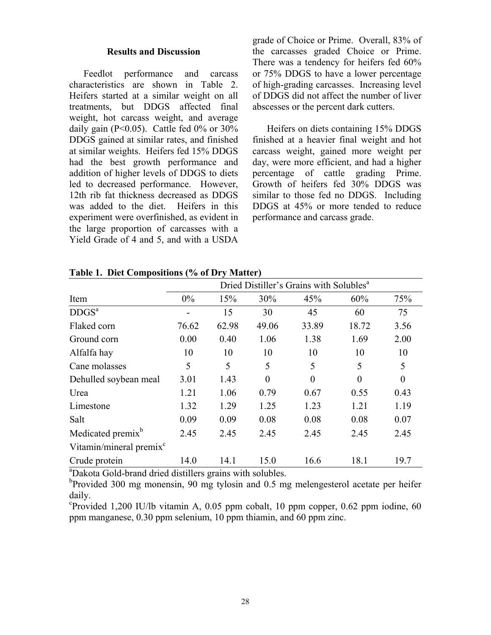#### **Results and Discussion**

Feedlot performance and carcass characteristics are shown in Table 2. Heifers started at a similar weight on all treatments, but DDGS affected final weight, hot carcass weight, and average daily gain ( $P<0.05$ ). Cattle fed  $0\%$  or  $30\%$ DDGS gained at similar rates, and finished at similar weights. Heifers fed 15% DDGS had the best growth performance and addition of higher levels of DDGS to diets led to decreased performance. However, 12th rib fat thickness decreased as DDGS was added to the diet. Heifers in this experiment were overfinished, as evident in the large proportion of carcasses with a Yield Grade of 4 and 5, and with a USDA grade of Choice or Prime. Overall, 83% of the carcasses graded Choice or Prime. There was a tendency for heifers fed 60% or 75% DDGS to have a lower percentage of high-grading carcasses. Increasing level of DDGS did not affect the number of liver abscesses or the percent dark cutters.

Heifers on diets containing 15% DDGS finished at a heavier final weight and hot carcass weight, gained more weight per day, were more efficient, and had a higher percentage of cattle grading Prime. Growth of heifers fed 30% DDGS was similar to those fed no DDGS. Including DDGS at 45% or more tended to reduce performance and carcass grade.

|                                     | Dried Distiller's Grains with Solubles <sup>a</sup> |       |          |          |          |          |  |  |  |
|-------------------------------------|-----------------------------------------------------|-------|----------|----------|----------|----------|--|--|--|
| Item                                | 0%                                                  | 15%   | 30%      | 45%      | 60%      | 75%      |  |  |  |
| DDGS <sup>a</sup>                   |                                                     | 15    | 30       | 45       | 60       | 75       |  |  |  |
| Flaked corn                         | 76.62                                               | 62.98 | 49.06    | 33.89    | 18.72    | 3.56     |  |  |  |
| Ground corn                         | 0.00                                                | 0.40  | 1.06     | 1.38     | 1.69     | 2.00     |  |  |  |
| Alfalfa hay                         | 10                                                  | 10    | 10       | 10       | 10       | 10       |  |  |  |
| Cane molasses                       | 5                                                   | 5     | 5        | 5        | 5        | 5        |  |  |  |
| Dehulled soybean meal               | 3.01                                                | 1.43  | $\theta$ | $\theta$ | $\theta$ | $\theta$ |  |  |  |
| Urea                                | 1.21                                                | 1.06  | 0.79     | 0.67     | 0.55     | 0.43     |  |  |  |
| Limestone                           | 1.32                                                | 1.29  | 1.25     | 1.23     | 1.21     | 1.19     |  |  |  |
| Salt                                | 0.09                                                | 0.09  | 0.08     | 0.08     | 0.08     | 0.07     |  |  |  |
| Medicated premix <sup>b</sup>       | 2.45                                                | 2.45  | 2.45     | 2.45     | 2.45     | 2.45     |  |  |  |
| Vitamin/mineral premix <sup>c</sup> |                                                     |       |          |          |          |          |  |  |  |
| Crude protein                       | 14.0                                                | 14.1  | 15.0     | 16.6     | 18.1     | 19.7     |  |  |  |

#### **Table 1. Diet Compositions (% of Dry Matter)**

<sup>a</sup>Dakota Gold-brand dried distillers grains with solubles.

<sup>b</sup>Provided 300 mg monensin, 90 mg tylosin and 0.5 mg melengesterol acetate per heifer daily.

c Provided 1,200 IU/lb vitamin A, 0.05 ppm cobalt, 10 ppm copper, 0.62 ppm iodine, 60 ppm manganese, 0.30 ppm selenium, 10 ppm thiamin, and 60 ppm zinc.